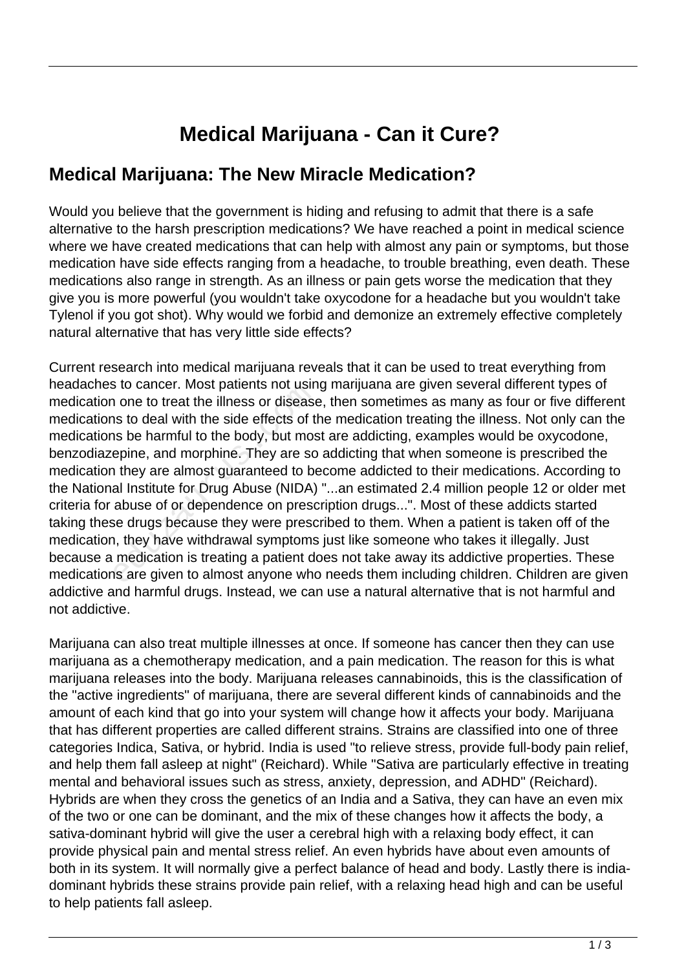## **Medical Marijuana - Can it Cure?**

## **Medical Marijuana: The New Miracle Medication?**

Would you believe that the government is hiding and refusing to admit that there is a safe alternative to the harsh prescription medications? We have reached a point in medical science where we have created medications that can help with almost any pain or symptoms, but those medication have side effects ranging from a headache, to trouble breathing, even death. These medications also range in strength. As an illness or pain gets worse the medication that they give you is more powerful (you wouldn't take oxycodone for a headache but you wouldn't take Tylenol if you got shot). Why would we forbid and demonize an extremely effective completely natural alternative that has very little side effects?

Current research into medical marijuana reveals that it can be used to treat everything from headaches to cancer. Most patients not using marijuana are given several different types of medication one to treat the illness or disease, then sometimes as many as four or five different medications to deal with the side effects of the medication treating the illness. Not only can the medications be harmful to the body, but most are addicting, examples would be oxycodone, benzodiazepine, and morphine. They are so addicting that when someone is prescribed the medication they are almost guaranteed to become addicted to their medications. According to the National Institute for Drug Abuse (NIDA) "...an estimated 2.4 million people 12 or older met criteria for abuse of or dependence on prescription drugs...". Most of these addicts started taking these drugs because they were prescribed to them. When a patient is taken off of the medication, they have withdrawal symptoms just like someone who takes it illegally. Just because a medication is treating a patient does not take away its addictive properties. These medications are given to almost anyone who needs them including children. Children are given addictive and harmful drugs. Instead, we can use a natural alternative that is not harmful and not addictive. of the illness or disease<br>is to deal with the side effects of the<br>is to deal with the side effects of the<br>is be harmful to the body, but mosepine, and morphine. They are so<br>it they are almost guaranteed to be<br>al Institute

Marijuana can also treat multiple illnesses at once. If someone has cancer then they can use marijuana as a chemotherapy medication, and a pain medication. The reason for this is what marijuana releases into the body. Marijuana releases cannabinoids, this is the classification of the "active ingredients" of marijuana, there are several different kinds of cannabinoids and the amount of each kind that go into your system will change how it affects your body. Marijuana that has different properties are called different strains. Strains are classified into one of three categories Indica, Sativa, or hybrid. India is used "to relieve stress, provide full-body pain relief, and help them fall asleep at night" (Reichard). While "Sativa are particularly effective in treating mental and behavioral issues such as stress, anxiety, depression, and ADHD" (Reichard). Hybrids are when they cross the genetics of an India and a Sativa, they can have an even mix of the two or one can be dominant, and the mix of these changes how it affects the body, a sativa-dominant hybrid will give the user a cerebral high with a relaxing body effect, it can provide physical pain and mental stress relief. An even hybrids have about even amounts of both in its system. It will normally give a perfect balance of head and body. Lastly there is indiadominant hybrids these strains provide pain relief, with a relaxing head high and can be useful to help patients fall asleep.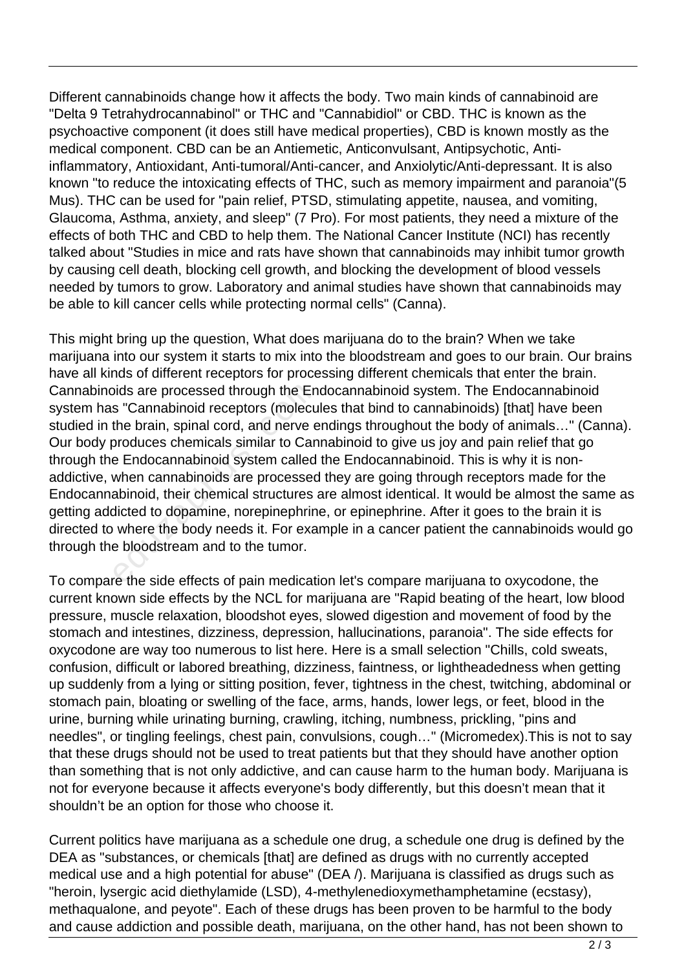Different cannabinoids change how it affects the body. Two main kinds of cannabinoid are "Delta 9 Tetrahydrocannabinol" or THC and "Cannabidiol" or CBD. THC is known as the psychoactive component (it does still have medical properties), CBD is known mostly as the medical component. CBD can be an Antiemetic, Anticonvulsant, Antipsychotic, Antiinflammatory, Antioxidant, Anti-tumoral/Anti-cancer, and Anxiolytic/Anti-depressant. It is also known "to reduce the intoxicating effects of THC, such as memory impairment and paranoia"(5 Mus). THC can be used for "pain relief, PTSD, stimulating appetite, nausea, and vomiting, Glaucoma, Asthma, anxiety, and sleep" (7 Pro). For most patients, they need a mixture of the effects of both THC and CBD to help them. The National Cancer Institute (NCI) has recently talked about "Studies in mice and rats have shown that cannabinoids may inhibit tumor growth by causing cell death, blocking cell growth, and blocking the development of blood vessels needed by tumors to grow. Laboratory and animal studies have shown that cannabinoids may be able to kill cancer cells while protecting normal cells" (Canna).

This might bring up the question, What does marijuana do to the brain? When we take marijuana into our system it starts to mix into the bloodstream and goes to our brain. Our brains have all kinds of different receptors for processing different chemicals that enter the brain. Cannabinoids are processed through the Endocannabinoid system. The Endocannabinoid system has "Cannabinoid receptors (molecules that bind to cannabinoids) [that] have been studied in the brain, spinal cord, and nerve endings throughout the body of animals…" (Canna). Our body produces chemicals similar to Cannabinoid to give us joy and pain relief that go through the Endocannabinoid system called the Endocannabinoid. This is why it is nonaddictive, when cannabinoids are processed they are going through receptors made for the Endocannabinoid, their chemical structures are almost identical. It would be almost the same as getting addicted to dopamine, norepinephrine, or epinephrine. After it goes to the brain it is directed to where the body needs it. For example in a cancer patient the cannabinoids would go through the bloodstream and to the tumor. bids are processed through the En<br>s "Cannabinoid receptors (molecu<br>the brain, spinal cord, and nerve e<br>produces chemicals similar to Can<br>e Endocannabinoid system called<br>when cannabinoids are processed<br>abinoid, their chemic

To compare the side effects of pain medication let's compare marijuana to oxycodone, the current known side effects by the NCL for marijuana are "Rapid beating of the heart, low blood pressure, muscle relaxation, bloodshot eyes, slowed digestion and movement of food by the stomach and intestines, dizziness, depression, hallucinations, paranoia". The side effects for oxycodone are way too numerous to list here. Here is a small selection "Chills, cold sweats, confusion, difficult or labored breathing, dizziness, faintness, or lightheadedness when getting up suddenly from a lying or sitting position, fever, tightness in the chest, twitching, abdominal or stomach pain, bloating or swelling of the face, arms, hands, lower legs, or feet, blood in the urine, burning while urinating burning, crawling, itching, numbness, prickling, "pins and needles", or tingling feelings, chest pain, convulsions, cough…" (Micromedex).This is not to say that these drugs should not be used to treat patients but that they should have another option than something that is not only addictive, and can cause harm to the human body. Marijuana is not for everyone because it affects everyone's body differently, but this doesn't mean that it shouldn't be an option for those who choose it.

Current politics have marijuana as a schedule one drug, a schedule one drug is defined by the DEA as "substances, or chemicals [that] are defined as drugs with no currently accepted medical use and a high potential for abuse" (DEA /). Marijuana is classified as drugs such as "heroin, lysergic acid diethylamide (LSD), 4-methylenedioxymethamphetamine (ecstasy), methaqualone, and peyote". Each of these drugs has been proven to be harmful to the body and cause addiction and possible death, marijuana, on the other hand, has not been shown to